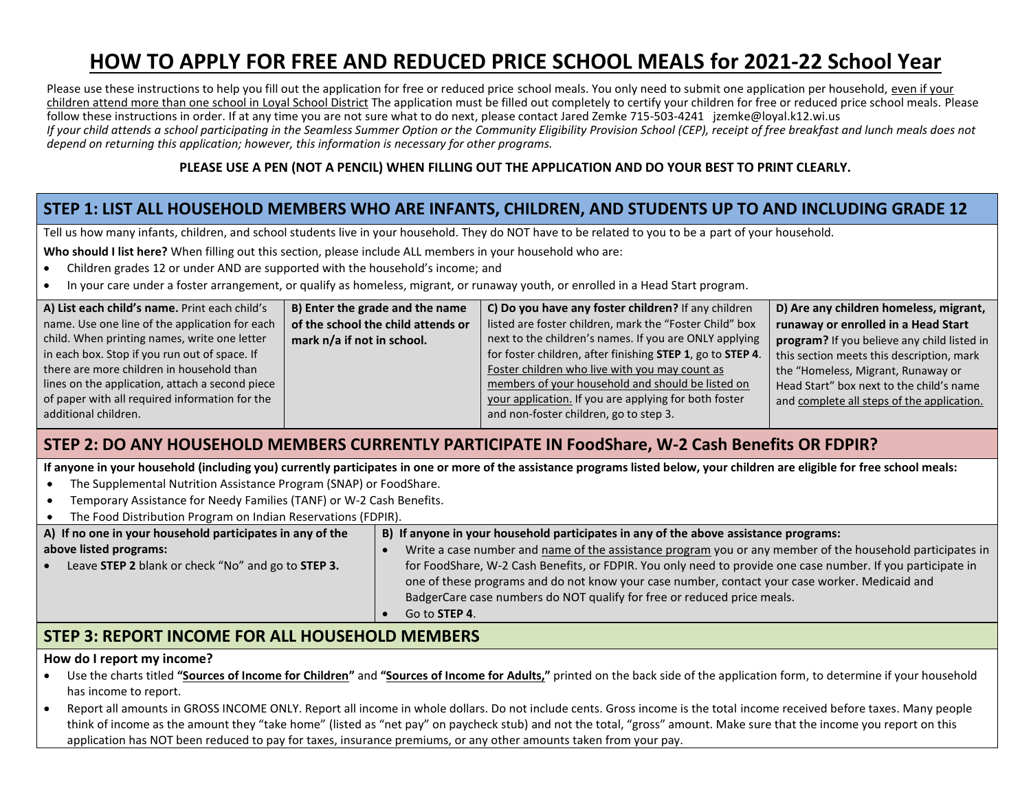# **HOW TO APPLY FOR FREE AND REDUCED PRICE SCHOOL MEALS for 2021-22 School Year**

Please use these instructions to help you fill out the application for free or reduced price school meals. You only need to submit one application per household, even if your children attend more than one school in Loyal School District The application must be filled out completely to certify your children for free or reduced price school meals. Please follow these instructions in order. If at any time you are not sure what to do next, please contact Jared Zemke 715-503-4241 jzemke@loyal.k12.wi.us *If your child attends a school participating in the Seamless Summer Option or the Community Eligibility Provision School (CEP), receipt of free breakfast and lunch meals does not depend on returning this application; however, this information is necessary for other programs.*

#### **PLEASE USE A PEN (NOT A PENCIL) WHEN FILLING OUT THE APPLICATION AND DO YOUR BEST TO PRINT CLEARLY.**

## **STEP 1: LIST ALL HOUSEHOLD MEMBERS WHO ARE INFANTS, CHILDREN, AND STUDENTS UP TO AND INCLUDING GRADE 12**

Tell us how many infants, children, and school students live in your household. They do NOT have to be related to you to be a part of your household.

**Who should I list here?** When filling out this section, please include ALL members in your household who are:

- Children grades 12 or under AND are supported with the household's income; and
- In your care under a foster arrangement, or qualify as homeless, migrant, or runaway youth, or enrolled in a Head Start program.

| A) List each child's name. Print each child's   | B) Enter the grade and the name    | C) Do you have any foster children? If any children        | D) Are any children homeless, migrant,      |
|-------------------------------------------------|------------------------------------|------------------------------------------------------------|---------------------------------------------|
| name. Use one line of the application for each  | of the school the child attends or | listed are foster children, mark the "Foster Child" box    | runaway or enrolled in a Head Start         |
| child. When printing names, write one letter    | mark n/a if not in school.         | next to the children's names. If you are ONLY applying     | program? If you believe any child listed in |
| in each box. Stop if you run out of space. If   |                                    | for foster children, after finishing STEP 1, go to STEP 4. | this section meets this description, mark   |
| there are more children in household than       |                                    | Foster children who live with you may count as             | the "Homeless, Migrant, Runaway or          |
| lines on the application, attach a second piece |                                    | members of your household and should be listed on          | Head Start" box next to the child's name    |
| of paper with all required information for the  |                                    | your application. If you are applying for both foster      | and complete all steps of the application.  |
| additional children.                            |                                    | and non-foster children, go to step 3.                     |                                             |

### **STEP 2: DO ANY HOUSEHOLD MEMBERS CURRENTLY PARTICIPATE IN FoodShare, W-2 Cash Benefits OR FDPIR?**

**If anyone in your household (including you) currently participates in one or more of the assistance programs listed below, your children are eligible for free school meals:**

- The Supplemental Nutrition Assistance Program (SNAP) or FoodShare.
- Temporary Assistance for Needy Families (TANF) or W-2 Cash Benefits.
- The Food Distribution Program on Indian Reservations (FDPIR).

| A) If no one in your household participates in any of the       | B) If anyone in your household participates in any of the above assistance programs:                        |
|-----------------------------------------------------------------|-------------------------------------------------------------------------------------------------------------|
| above listed programs:                                          | Write a case number and name of the assistance program you or any member of the household participates in   |
| Leave STEP 2 blank or check "No" and go to STEP 3.<br>$\bullet$ | for FoodShare, W-2 Cash Benefits, or FDPIR. You only need to provide one case number. If you participate in |
|                                                                 | one of these programs and do not know your case number, contact your case worker. Medicaid and              |
|                                                                 | BadgerCare case numbers do NOT qualify for free or reduced price meals.                                     |
|                                                                 | Go to <b>STEP 4</b> .                                                                                       |

### **STEP 3: REPORT INCOME FOR ALL HOUSEHOLD MEMBERS**

#### **How do I report my income?**

- Use the charts titled **"Sources of Income for Children"** and **"Sources of Income for Adults,"** printed on the back side of the application form, to determine if your household has income to report.
- Report all amounts in GROSS INCOME ONLY. Report all income in whole dollars. Do not include cents. Gross income is the total income received before taxes. Many people think of income as the amount they "take home" (listed as "net pay" on paycheck stub) and not the total, "gross" amount. Make sure that the income you report on this application has NOT been reduced to pay for taxes, insurance premiums, or any other amounts taken from your pay.